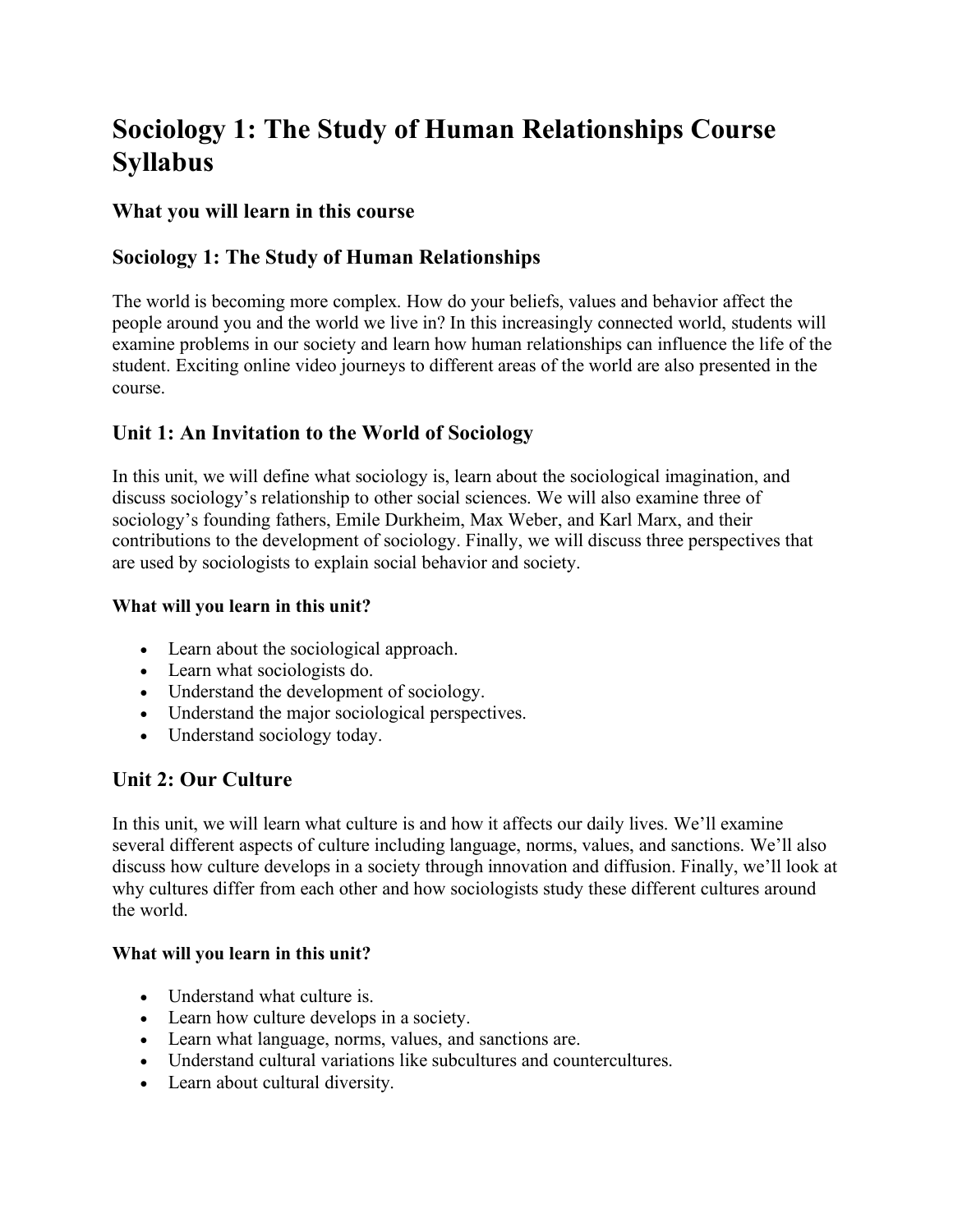# **Sociology 1: The Study of Human Relationships Course Syllabus**

## **What you will learn in this course**

# **Sociology 1: The Study of Human Relationships**

The world is becoming more complex. How do your beliefs, values and behavior affect the people around you and the world we live in? In this increasingly connected world, students will examine problems in our society and learn how human relationships can influence the life of the student. Exciting online video journeys to different areas of the world are also presented in the course.

# **Unit 1: An Invitation to the World of Sociology**

In this unit, we will define what sociology is, learn about the sociological imagination, and discuss sociology's relationship to other social sciences. We will also examine three of sociology's founding fathers, Emile Durkheim, Max Weber, and Karl Marx, and their contributions to the development of sociology. Finally, we will discuss three perspectives that are used by sociologists to explain social behavior and society.

## **What will you learn in this unit?**

- Learn about the sociological approach.
- Learn what sociologists do.
- Understand the development of sociology.
- Understand the major sociological perspectives.
- Understand sociology today.

# **Unit 2: Our Culture**

In this unit, we will learn what culture is and how it affects our daily lives. We'll examine several different aspects of culture including language, norms, values, and sanctions. We'll also discuss how culture develops in a society through innovation and diffusion. Finally, we'll look at why cultures differ from each other and how sociologists study these different cultures around the world.

## **What will you learn in this unit?**

- Understand what culture is.
- Learn how culture develops in a society.
- Learn what language, norms, values, and sanctions are.
- Understand cultural variations like subcultures and countercultures.
- Learn about cultural diversity.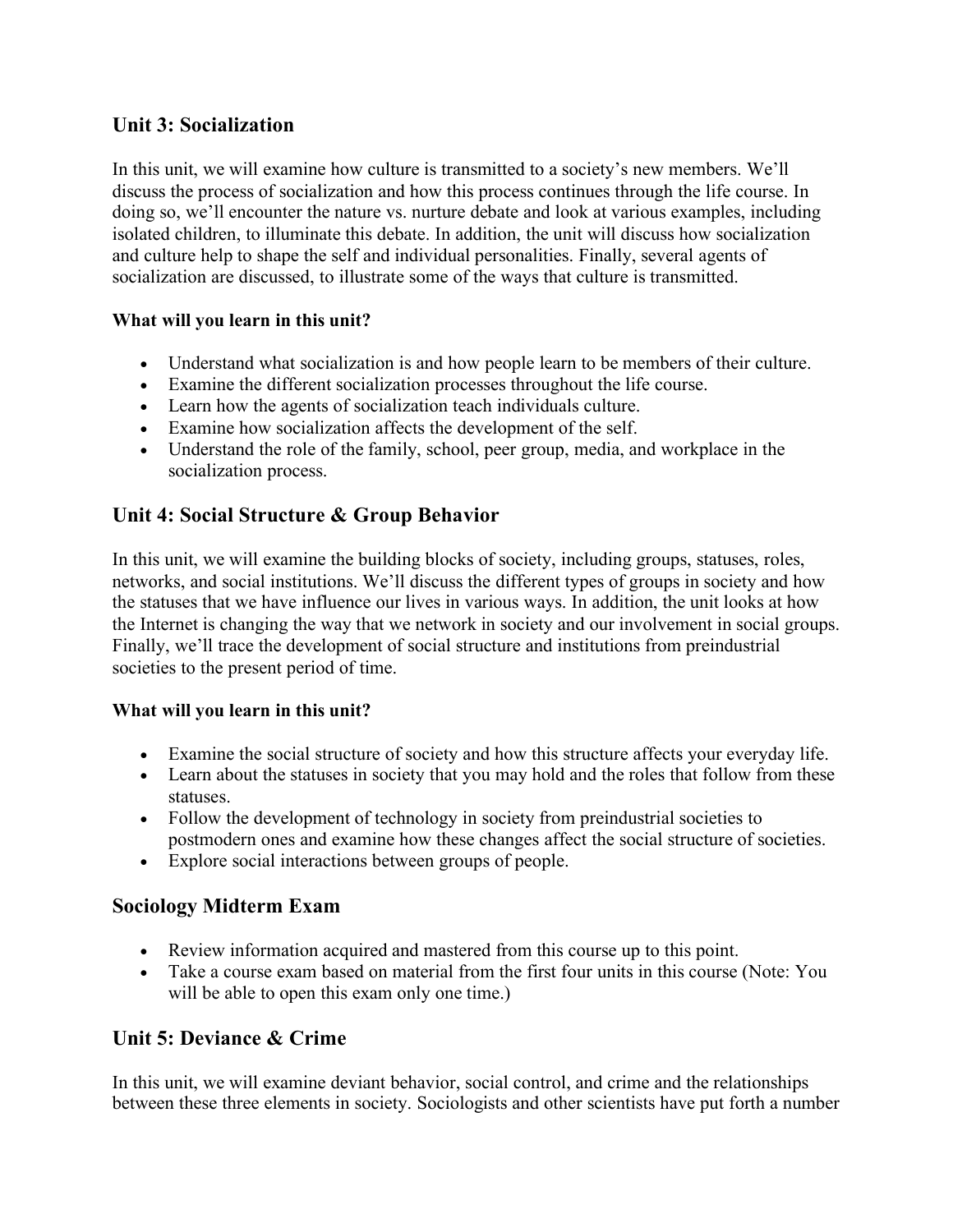# **Unit 3: Socialization**

In this unit, we will examine how culture is transmitted to a society's new members. We'll discuss the process of socialization and how this process continues through the life course. In doing so, we'll encounter the nature vs. nurture debate and look at various examples, including isolated children, to illuminate this debate. In addition, the unit will discuss how socialization and culture help to shape the self and individual personalities. Finally, several agents of socialization are discussed, to illustrate some of the ways that culture is transmitted.

## **What will you learn in this unit?**

- Understand what socialization is and how people learn to be members of their culture.
- Examine the different socialization processes throughout the life course.
- Learn how the agents of socialization teach individuals culture.
- Examine how socialization affects the development of the self.
- Understand the role of the family, school, peer group, media, and workplace in the socialization process.

# **Unit 4: Social Structure & Group Behavior**

In this unit, we will examine the building blocks of society, including groups, statuses, roles, networks, and social institutions. We'll discuss the different types of groups in society and how the statuses that we have influence our lives in various ways. In addition, the unit looks at how the Internet is changing the way that we network in society and our involvement in social groups. Finally, we'll trace the development of social structure and institutions from preindustrial societies to the present period of time.

#### **What will you learn in this unit?**

- Examine the social structure of society and how this structure affects your everyday life.
- Learn about the statuses in society that you may hold and the roles that follow from these statuses.
- Follow the development of technology in society from preindustrial societies to postmodern ones and examine how these changes affect the social structure of societies.
- Explore social interactions between groups of people.

## **Sociology Midterm Exam**

- Review information acquired and mastered from this course up to this point.
- Take a course exam based on material from the first four units in this course (Note: You will be able to open this exam only one time.)

# **Unit 5: Deviance & Crime**

In this unit, we will examine deviant behavior, social control, and crime and the relationships between these three elements in society. Sociologists and other scientists have put forth a number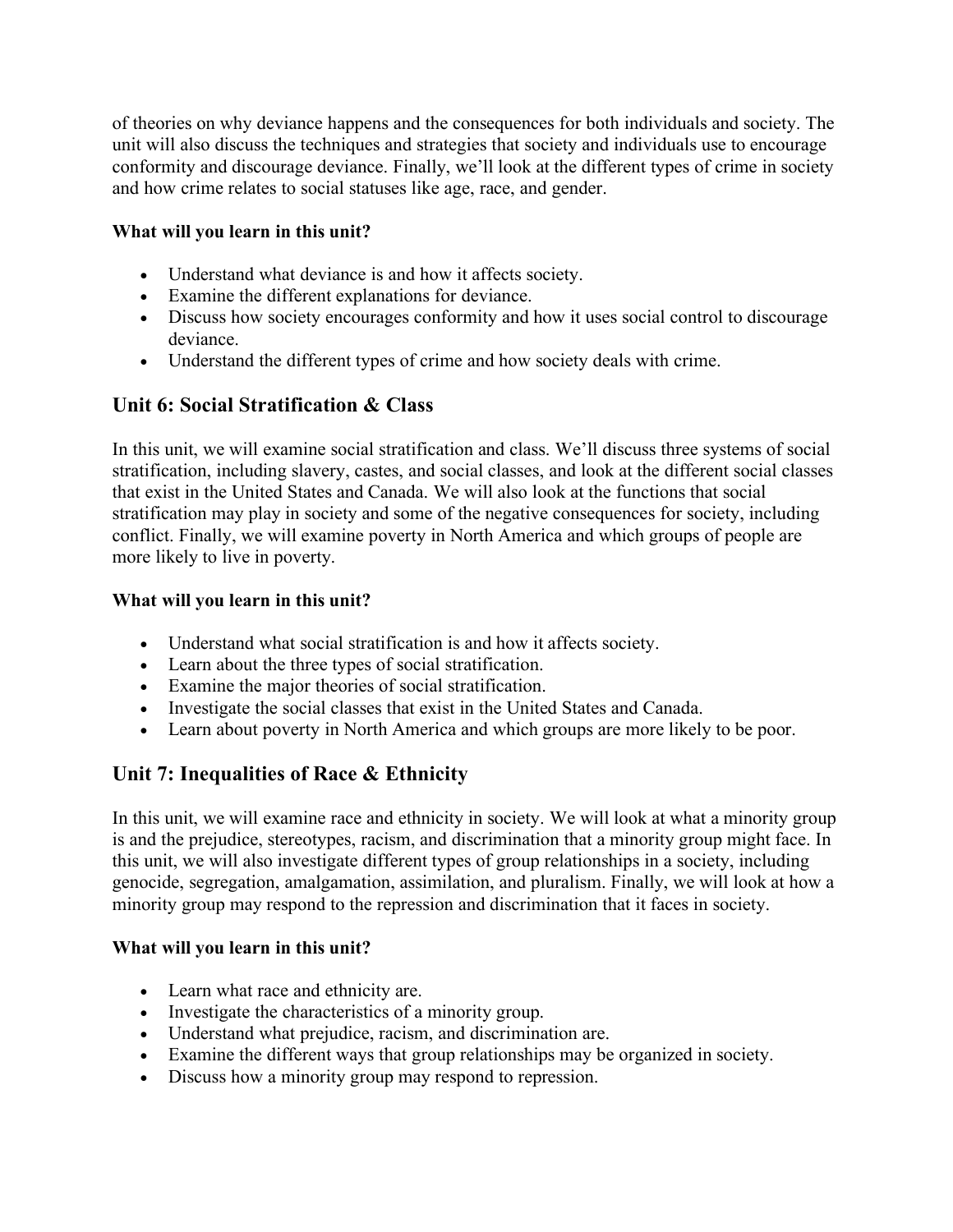of theories on why deviance happens and the consequences for both individuals and society. The unit will also discuss the techniques and strategies that society and individuals use to encourage conformity and discourage deviance. Finally, we'll look at the different types of crime in society and how crime relates to social statuses like age, race, and gender.

#### **What will you learn in this unit?**

- Understand what deviance is and how it affects society.
- Examine the different explanations for deviance.
- Discuss how society encourages conformity and how it uses social control to discourage deviance.
- Understand the different types of crime and how society deals with crime.

# **Unit 6: Social Stratification & Class**

In this unit, we will examine social stratification and class. We'll discuss three systems of social stratification, including slavery, castes, and social classes, and look at the different social classes that exist in the United States and Canada. We will also look at the functions that social stratification may play in society and some of the negative consequences for society, including conflict. Finally, we will examine poverty in North America and which groups of people are more likely to live in poverty.

#### **What will you learn in this unit?**

- Understand what social stratification is and how it affects society.
- Learn about the three types of social stratification.
- Examine the major theories of social stratification.
- Investigate the social classes that exist in the United States and Canada.
- Learn about poverty in North America and which groups are more likely to be poor.

# **Unit 7: Inequalities of Race & Ethnicity**

In this unit, we will examine race and ethnicity in society. We will look at what a minority group is and the prejudice, stereotypes, racism, and discrimination that a minority group might face. In this unit, we will also investigate different types of group relationships in a society, including genocide, segregation, amalgamation, assimilation, and pluralism. Finally, we will look at how a minority group may respond to the repression and discrimination that it faces in society.

#### **What will you learn in this unit?**

- Learn what race and ethnicity are.
- Investigate the characteristics of a minority group.
- Understand what prejudice, racism, and discrimination are.
- Examine the different ways that group relationships may be organized in society.
- Discuss how a minority group may respond to repression.